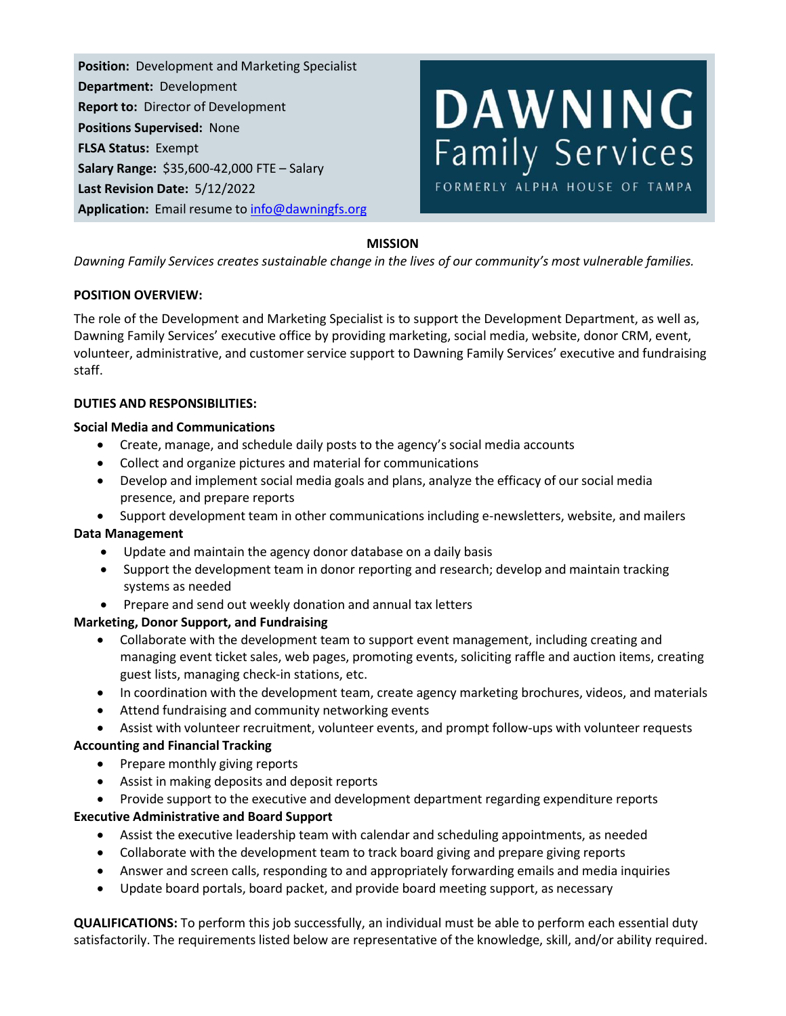**Position:** Development and Marketing Specialist **Department:** Development **Report to:** Director of Development **Positions Supervised:** None **FLSA Status:** Exempt **Salary Range:** \$35,600-42,000 FTE – Salary **Last Revision Date:** 5/12/2022 **Application:** Email resume to [info@dawningfs.org](mailto:info@dawningfs.org)



## **MISSION**

*Dawning Family Services creates sustainable change in the lives of our community's most vulnerable families.*

## **POSITION OVERVIEW:**

The role of the Development and Marketing Specialist is to support the Development Department, as well as, Dawning Family Services' executive office by providing marketing, social media, website, donor CRM, event, volunteer, administrative, and customer service support to Dawning Family Services' executive and fundraising staff.

### **DUTIES AND RESPONSIBILITIES:**

### **Social Media and Communications**

- Create, manage, and schedule daily posts to the agency's social media accounts
- Collect and organize pictures and material for communications
- Develop and implement social media goals and plans, analyze the efficacy of our social media presence, and prepare reports
- Support development team in other communications including e-newsletters, website, and mailers

### **Data Management**

- Update and maintain the agency donor database on a daily basis
- Support the development team in donor reporting and research; develop and maintain tracking systems as needed
- Prepare and send out weekly donation and annual tax letters

# **Marketing, Donor Support, and Fundraising**

- Collaborate with the development team to support event management, including creating and managing event ticket sales, web pages, promoting events, soliciting raffle and auction items, creating guest lists, managing check-in stations, etc.
- In coordination with the development team, create agency marketing brochures, videos, and materials
- Attend fundraising and community networking events

• Assist with volunteer recruitment, volunteer events, and prompt follow-ups with volunteer requests **Accounting and Financial Tracking**

- Prepare monthly giving reports
- Assist in making deposits and deposit reports
- Provide support to the executive and development department regarding expenditure reports

### **Executive Administrative and Board Support**

- Assist the executive leadership team with calendar and scheduling appointments, as needed
- Collaborate with the development team to track board giving and prepare giving reports
- Answer and screen calls, responding to and appropriately forwarding emails and media inquiries
- Update board portals, board packet, and provide board meeting support, as necessary

**QUALIFICATIONS:** To perform this job successfully, an individual must be able to perform each essential duty satisfactorily. The requirements listed below are representative of the knowledge, skill, and/or ability required.